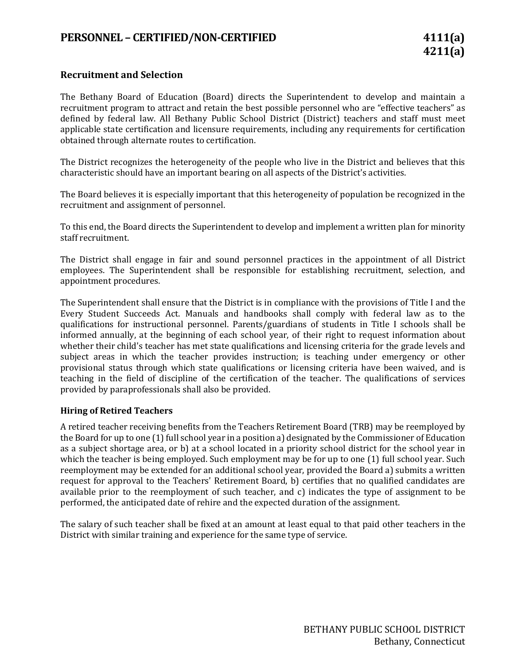## **PERSONNEL – CERTIFIED/NON-CERTIFIED 4111(a)**

## **Recruitment and Selection**

The Bethany Board of Education (Board) directs the Superintendent to develop and maintain a recruitment program to attract and retain the best possible personnel who are "effective teachers" as defined by federal law. All Bethany Public School District (District) teachers and staff must meet applicable state certification and licensure requirements, including any requirements for certification obtained through alternate routes to certification.

The District recognizes the heterogeneity of the people who live in the District and believes that this characteristic should have an important bearing on all aspects of the District's activities.

The Board believes it is especially important that this heterogeneity of population be recognized in the recruitment and assignment of personnel.

To this end, the Board directs the Superintendent to develop and implement a written plan for minority staff recruitment.

The District shall engage in fair and sound personnel practices in the appointment of all District employees. The Superintendent shall be responsible for establishing recruitment, selection, and appointment procedures.

The Superintendent shall ensure that the District is in compliance with the provisions of Title I and the Every Student Succeeds Act. Manuals and handbooks shall comply with federal law as to the qualifications for instructional personnel. Parents/guardians of students in Title I schools shall be informed annually, at the beginning of each school year, of their right to request information about whether their child's teacher has met state qualifications and licensing criteria for the grade levels and subject areas in which the teacher provides instruction; is teaching under emergency or other provisional status through which state qualifications or licensing criteria have been waived, and is teaching in the field of discipline of the certification of the teacher. The qualifications of services provided by paraprofessionals shall also be provided.

## **Hiring of Retired Teachers**

A retired teacher receiving benefits from the Teachers Retirement Board (TRB) may be reemployed by the Board for up to one (1) full school year in a position a) designated by the Commissioner of Education as a subject shortage area, or b) at a school located in a priority school district for the school year in which the teacher is being employed. Such employment may be for up to one (1) full school year. Such reemployment may be extended for an additional school year, provided the Board a) submits a written request for approval to the Teachers' Retirement Board, b) certifies that no qualified candidates are available prior to the reemployment of such teacher, and c) indicates the type of assignment to be performed, the anticipated date of rehire and the expected duration of the assignment.

The salary of such teacher shall be fixed at an amount at least equal to that paid other teachers in the District with similar training and experience for the same type of service.